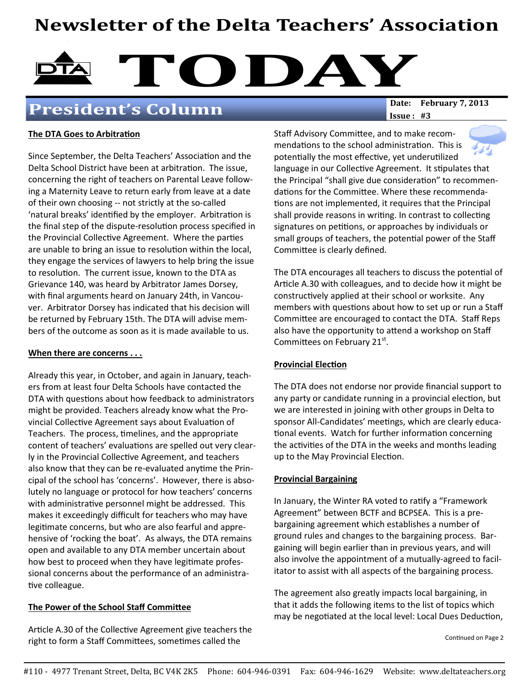## Newsletter of the Delta Teachers' Association



## President's Column

 $Issue: #3$ 

#### The DTA Goes to Arbitration

Since September, the Delta Teachers' Association and the Delta School District have been at arbitration. The issue, concerning the right of teachers on Parental Leave following a Maternity Leave to return early from leave at a date of their own choosing -- not strictly at the so-called 'natural breaks' identified by the employer. Arbitration is the final step of the dispute-resolution process specified in the Provincial Collective Agreement. Where the parties are unable to bring an issue to resolution within the local, they engage the services of lawyers to help bring the issue to resolution. The current issue, known to the DTA as Grievance 140, was heard by Arbitrator James Dorsey, with final arguments heard on January 24th, in Vancouver. Arbitrator Dorsey has indicated that his decision will be returned by February 15th. The DTA will advise members of the outcome as soon as it is made available to us.

#### When there are concerns . . .

Already this year, in October, and again in January, teachers from at least four Delta Schools have contacted the DTA with questions about how feedback to administrators might be provided. Teachers already know what the Provincial Collective Agreement says about Evaluation of Teachers. The process, timelines, and the appropriate content of teachers' evaluations are spelled out very clearly in the Provincial Collective Agreement, and teachers also know that they can be re-evaluated anytime the Principal of the school has 'concerns'. However, there is absolutely no language or protocol for how teachers' concerns with administrative personnel might be addressed. This makes it exceedingly difficult for teachers who may have legitimate concerns, but who are also fearful and apprehensive of 'rocking the boat'. As always, the DTA remains open and available to any DTA member uncertain about how best to proceed when they have legitimate professional concerns about the performance of an administra tive colleague.

#### The Power of the School Staff Committee

Article A.30 of the Collective Agreement give teachers the right to form a Staff Committees, sometimes called the

Staff Advisory Committee, and to make recommendations to the school administration. This is potentially the most effective, yet underutilized language in our Collective Agreement. It stipulates that the Principal "shall give due consideration" to recommendations for the Committee. Where these recommendations are not implemented, it requires that the Principal shall provide reasons in writing. In contrast to collecting signatures on petitions, or approaches by individuals or small groups of teachers, the potential power of the Staff Committee is clearly defined.

The DTA encourages all teachers to discuss the potential of Article A.30 with colleagues, and to decide how it might be constructively applied at their school or worksite. Any members with questions about how to set up or run a Staff Committee are encouraged to contact the DTA. Staff Reps also have the opportunity to attend a workshop on Staff Committees on February 21st.

#### **Provincial Election**

The DTA does not endorse nor provide financial support to any party or candidate running in a provincial election, but we are interested in joining with other groups in Delta to sponsor All-Candidates' meetings, which are clearly educational events. Watch for further information concerning the activities of the DTA in the weeks and months leading up to the May Provincial Election.

#### Provincial Bargaining

In January, the Winter RA voted to ratify a "Framework" Agreement" between BCTF and BCPSEA. This is a prebargaining agreement which establishes a number of ground rules and changes to the bargaining process. Bargaining will begin earlier than in previous years, and will also involve the appointment of a mutually-agreed to facilitator to assist with all aspects of the bargaining process.

The agreement also greatly impacts local bargaining, in that it adds the following items to the list of topics which may be negotiated at the local level: Local Dues Deduction,

Continued on Page 2